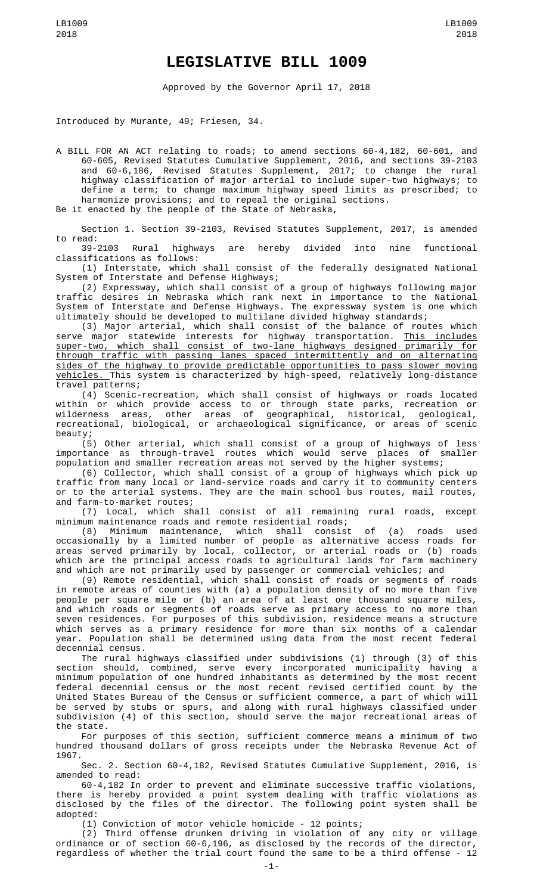## **LEGISLATIVE BILL 1009**

Approved by the Governor April 17, 2018

Introduced by Murante, 49; Friesen, 34.

A BILL FOR AN ACT relating to roads; to amend sections 60-4,182, 60-601, and 60-605, Revised Statutes Cumulative Supplement, 2016, and sections 39-2103 and 60-6,186, Revised Statutes Supplement, 2017; to change the rural highway classification of major arterial to include super-two highways; to define a term; to change maximum highway speed limits as prescribed; to harmonize provisions; and to repeal the original sections. Be it enacted by the people of the State of Nebraska,

Section 1. Section 39-2103, Revised Statutes Supplement, 2017, is amended to read:

highways are hereby divided into nine functional classifications as follows:

(1) Interstate, which shall consist of the federally designated National System of Interstate and Defense Highways;

(2) Expressway, which shall consist of a group of highways following major traffic desires in Nebraska which rank next in importance to the National System of Interstate and Defense Highways. The expressway system is one which ultimately should be developed to multilane divided highway standards;

(3) Major arterial, which shall consist of the balance of routes which serve major statewide interests for highway transportation. <u>This includes</u> super-two, which shall consist of two-lane highways designed primarily for through traffic with passing lanes spaced intermittently and on alternating sides of the highway to provide predictable opportunities to pass slower moving vehicles. This system is characterized by high-speed, relatively long-distance travel patterns;

(4) Scenic-recreation, which shall consist of highways or roads located within or which provide access to or through state parks, recreation or wilderness areas, other areas of geographical, historical, geological, recreational, biological, or archaeological significance, or areas of scenic beauty;

(5) Other arterial, which shall consist of a group of highways of less importance as through-travel routes which would serve places of smaller population and smaller recreation areas not served by the higher systems;

(6) Collector, which shall consist of a group of highways which pick up traffic from many local or land-service roads and carry it to community centers or to the arterial systems. They are the main school bus routes, mail routes, and farm-to-market routes;

(7) Local, which shall consist of all remaining rural roads, except minimum maintenance roads and remote residential roads;

(8) Minimum maintenance, which shall consist of (a) roads used occasionally by a limited number of people as alternative access roads for areas served primarily by local, collector, or arterial roads or (b) roads which are the principal access roads to agricultural lands for farm machinery and which are not primarily used by passenger or commercial vehicles; and

(9) Remote residential, which shall consist of roads or segments of roads in remote areas of counties with (a) a population density of no more than five people per square mile or (b) an area of at least one thousand square miles, and which roads or segments of roads serve as primary access to no more than seven residences. For purposes of this subdivision, residence means a structure which serves as a primary residence for more than six months of a calendar year. Population shall be determined using data from the most recent federal decennial census.

The rural highways classified under subdivisions (1) through (3) of this section should, combined, serve every incorporated municipality having a minimum population of one hundred inhabitants as determined by the most recent federal decennial census or the most recent revised certified count by the United States Bureau of the Census or sufficient commerce, a part of which will be served by stubs or spurs, and along with rural highways classified under subdivision (4) of this section, should serve the major recreational areas of the state.

For purposes of this section, sufficient commerce means a minimum of two hundred thousand dollars of gross receipts under the Nebraska Revenue Act of 1967.

Sec. 2. Section 60-4,182, Revised Statutes Cumulative Supplement, 2016, is amended to read:

60-4,182 In order to prevent and eliminate successive traffic violations, there is hereby provided a point system dealing with traffic violations as disclosed by the files of the director. The following point system shall be adopted:

(1) Conviction of motor vehicle homicide - 12 points;

(2) Third offense drunken driving in violation of any city or village ordinance or of section 60-6,196, as disclosed by the records of the director, regardless of whether the trial court found the same to be a third offense - 12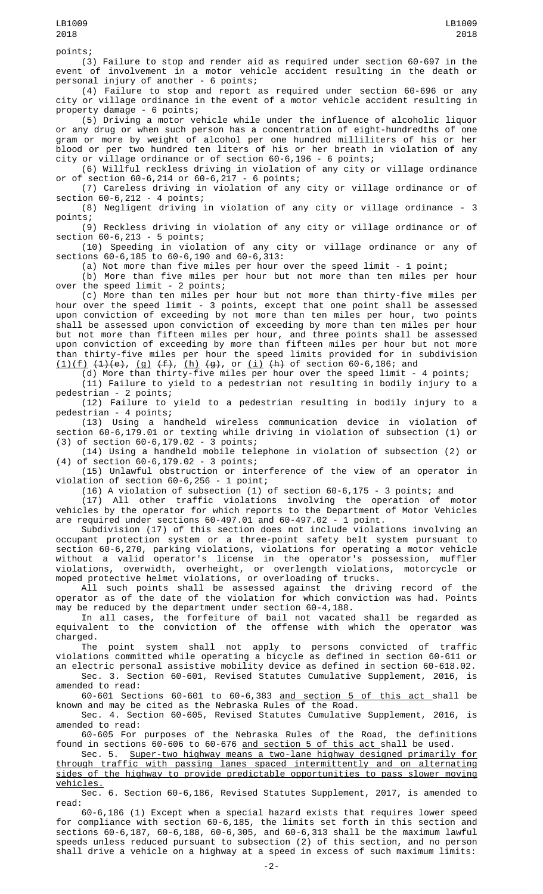points;

(3) Failure to stop and render aid as required under section 60-697 in the event of involvement in a motor vehicle accident resulting in the death or personal injury of another - 6 points;

(4) Failure to stop and report as required under section 60-696 or any city or village ordinance in the event of a motor vehicle accident resulting in property damage - 6 points;

(5) Driving a motor vehicle while under the influence of alcoholic liquor or any drug or when such person has a concentration of eight-hundredths of one gram or more by weight of alcohol per one hundred milliliters of his or her blood or per two hundred ten liters of his or her breath in violation of any city or village ordinance or of section 60-6,196 - 6 points;

(6) Willful reckless driving in violation of any city or village ordinance section  $60-6,214$  or  $60-6,217 - 6$  points;

(7) Careless driving in violation of any city or village ordinance or of section 60-6,212 - 4 points;

(8) Negligent driving in violation of any city or village ordinance - 3 points;

(9) Reckless driving in violation of any city or village ordinance or of section 60-6,213 - 5 points;

(10) Speeding in violation of any city or village ordinance or any of sections 60-6,185 to 60-6,190 and 60-6,313:

(a) Not more than five miles per hour over the speed limit - 1 point;

(b) More than five miles per hour but not more than ten miles per hour over the speed limit - 2 points;

(c) More than ten miles per hour but not more than thirty-five miles per hour over the speed limit - 3 points, except that one point shall be assessed upon conviction of exceeding by not more than ten miles per hour, two points shall be assessed upon conviction of exceeding by more than ten miles per hour but not more than fifteen miles per hour, and three points shall be assessed upon conviction of exceeding by more than fifteen miles per hour but not more than thirty-five miles per hour the speed limits provided for in subdivision  $(1)(f)$   $(1)(e),$   $(g)$   $(f),$   $(h)$   $(g),$  or  $(i)$   $(h)$  of section 60-6,186; and

(d) More than thirty-five miles per hour over the speed limit - 4 points; (11) Failure to yield to a pedestrian not resulting in bodily injury to a pedestrian - 2 points;

(12) Failure to yield to a pedestrian resulting in bodily injury to a pedestrian - 4 points;

(13) Using a handheld wireless communication device in violation of section 60-6,179.01 or texting while driving in violation of subsection (1) or (3) of section 60-6,179.02 - 3 points;

(14) Using a handheld mobile telephone in violation of subsection (2) or (4) of section 60-6,179.02 - 3 points;

(15) Unlawful obstruction or interference of the view of an operator in violation of section 60-6,256 - 1 point;

(16) A violation of subsection (1) of section 60-6,175 - 3 points; and

(17) All other traffic violations involving the operation of motor vehicles by the operator for which reports to the Department of Motor Vehicles are required under sections 60-497.01 and 60-497.02 - 1 point.

Subdivision (17) of this section does not include violations involving an occupant protection system or a three-point safety belt system pursuant to section 60-6,270, parking violations, violations for operating a motor vehicle without a valid operator's license in the operator's possession, muffler violations, overwidth, overheight, or overlength violations, motorcycle or moped protective helmet violations, or overloading of trucks.

All such points shall be assessed against the driving record of the operator as of the date of the violation for which conviction was had. Points may be reduced by the department under section 60-4,188.

In all cases, the forfeiture of bail not vacated shall be regarded as equivalent to the conviction of the offense with which the operator was charged.

The point system shall not apply to persons convicted of traffic violations committed while operating a bicycle as defined in section 60-611 or an electric personal assistive mobility device as defined in section 60-618.02.

Sec. 3. Section 60-601, Revised Statutes Cumulative Supplement, 2016, is amended to read:

60-601 Sections 60-601 to 60-6,383 and section 5 of this act shall be known and may be cited as the Nebraska Rules of the Road.

Sec. 4. Section 60-605, Revised Statutes Cumulative Supplement, 2016, is amended to read:

60-605 For purposes of the Nebraska Rules of the Road, the definitions found in sections 60-606 to 60-676 <u>and section 5 of this act </u>shall be used.

Sec. 5. Super-two highway means a two-lane highway designed primarily for through traffic with passing lanes spaced intermittently and on alternating sides of the highway to provide predictable opportunities to pass slower moving vehicles.

Sec. 6. Section 60-6,186, Revised Statutes Supplement, 2017, is amended to read:

60-6,186 (1) Except when a special hazard exists that requires lower speed for compliance with section 60-6,185, the limits set forth in this section and sections 60-6,187, 60-6,188, 60-6,305, and 60-6,313 shall be the maximum lawful speeds unless reduced pursuant to subsection (2) of this section, and no person shall drive a vehicle on a highway at a speed in excess of such maximum limits: